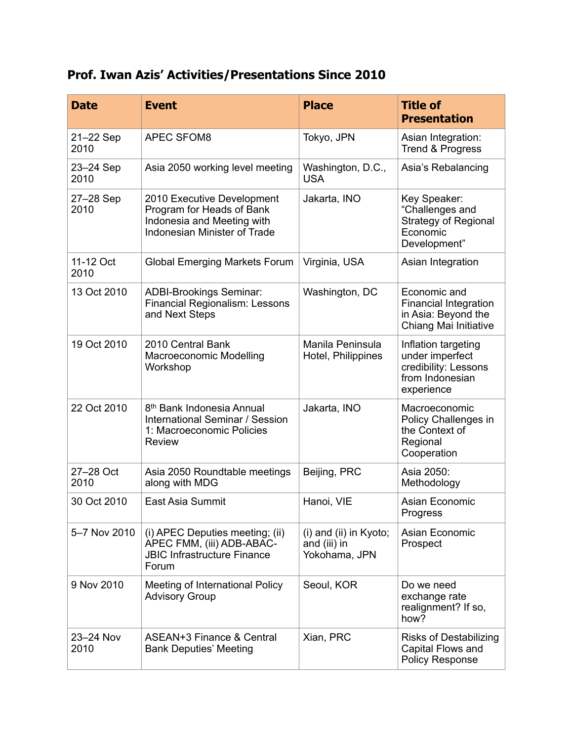## **Prof. Iwan Azis' Activities/Presentations Since 2010**

| <b>Date</b>       | <b>Event</b>                                                                                                                 | <b>Place</b>                                            | <b>Title of</b><br><b>Presentation</b>                                                          |
|-------------------|------------------------------------------------------------------------------------------------------------------------------|---------------------------------------------------------|-------------------------------------------------------------------------------------------------|
| 21-22 Sep<br>2010 | <b>APEC SFOM8</b>                                                                                                            | Tokyo, JPN                                              | Asian Integration:<br>Trend & Progress                                                          |
| 23-24 Sep<br>2010 | Asia 2050 working level meeting                                                                                              | Washington, D.C.,<br><b>USA</b>                         | Asia's Rebalancing                                                                              |
| 27-28 Sep<br>2010 | 2010 Executive Development<br>Program for Heads of Bank<br>Indonesia and Meeting with<br><b>Indonesian Minister of Trade</b> | Jakarta, INO                                            | Key Speaker:<br>"Challenges and<br><b>Strategy of Regional</b><br>Economic<br>Development"      |
| 11-12 Oct<br>2010 | <b>Global Emerging Markets Forum</b>                                                                                         | Virginia, USA                                           | Asian Integration                                                                               |
| 13 Oct 2010       | <b>ADBI-Brookings Seminar:</b><br><b>Financial Regionalism: Lessons</b><br>and Next Steps                                    | Washington, DC                                          | Economic and<br><b>Financial Integration</b><br>in Asia: Beyond the<br>Chiang Mai Initiative    |
| 19 Oct 2010       | 2010 Central Bank<br>Macroeconomic Modelling<br>Workshop                                                                     | Manila Peninsula<br>Hotel, Philippines                  | Inflation targeting<br>under imperfect<br>credibility: Lessons<br>from Indonesian<br>experience |
| 22 Oct 2010       | 8 <sup>th</sup> Bank Indonesia Annual<br>International Seminar / Session<br>1: Macroeconomic Policies<br><b>Review</b>       | Jakarta, INO                                            | Macroeconomic<br>Policy Challenges in<br>the Context of<br>Regional<br>Cooperation              |
| 27-28 Oct<br>2010 | Asia 2050 Roundtable meetings<br>along with MDG                                                                              | Beijing, PRC                                            | Asia 2050:<br>Methodology                                                                       |
| 30 Oct 2010       | East Asia Summit                                                                                                             | Hanoi, VIE                                              | Asian Economic<br>Progress                                                                      |
| 5-7 Nov 2010      | (i) APEC Deputies meeting; (ii)<br>APEC FMM, (iii) ADB-ABAC-<br><b>JBIC Infrastructure Finance</b><br>Forum                  | (i) and (ii) in Kyoto;<br>and (iii) in<br>Yokohama, JPN | Asian Economic<br>Prospect                                                                      |
| 9 Nov 2010        | Meeting of International Policy<br><b>Advisory Group</b>                                                                     | Seoul, KOR                                              | Do we need<br>exchange rate<br>realignment? If so,<br>how?                                      |
| 23-24 Nov<br>2010 | ASEAN+3 Finance & Central<br><b>Bank Deputies' Meeting</b>                                                                   | Xian, PRC                                               | <b>Risks of Destabilizing</b><br>Capital Flows and<br><b>Policy Response</b>                    |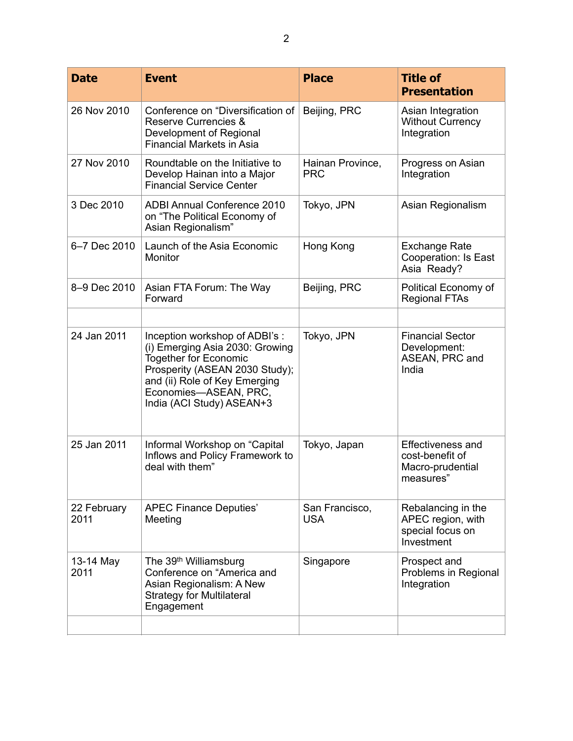| <b>Date</b>         | <b>Event</b>                                                                                                                                                                                                               | <b>Place</b>                   | <b>Title of</b><br><b>Presentation</b>                                       |
|---------------------|----------------------------------------------------------------------------------------------------------------------------------------------------------------------------------------------------------------------------|--------------------------------|------------------------------------------------------------------------------|
| 26 Nov 2010         | Conference on "Diversification of<br><b>Reserve Currencies &amp;</b><br>Development of Regional<br><b>Financial Markets in Asia</b>                                                                                        | Beijing, PRC                   | Asian Integration<br><b>Without Currency</b><br>Integration                  |
| 27 Nov 2010         | Roundtable on the Initiative to<br>Develop Hainan into a Major<br><b>Financial Service Center</b>                                                                                                                          | Hainan Province,<br><b>PRC</b> | Progress on Asian<br>Integration                                             |
| 3 Dec 2010          | <b>ADBI Annual Conference 2010</b><br>on "The Political Economy of<br>Asian Regionalism"                                                                                                                                   | Tokyo, JPN                     | Asian Regionalism                                                            |
| 6-7 Dec 2010        | Launch of the Asia Economic<br>Monitor                                                                                                                                                                                     | Hong Kong                      | <b>Exchange Rate</b><br>Cooperation: Is East<br>Asia Ready?                  |
| 8-9 Dec 2010        | Asian FTA Forum: The Way<br>Forward                                                                                                                                                                                        | Beijing, PRC                   | Political Economy of<br><b>Regional FTAs</b>                                 |
|                     |                                                                                                                                                                                                                            |                                |                                                                              |
| 24 Jan 2011         | Inception workshop of ADBI's :<br>(i) Emerging Asia 2030: Growing<br><b>Together for Economic</b><br>Prosperity (ASEAN 2030 Study);<br>and (ii) Role of Key Emerging<br>Economies-ASEAN, PRC,<br>India (ACI Study) ASEAN+3 | Tokyo, JPN                     | <b>Financial Sector</b><br>Development:<br>ASEAN, PRC and<br>India           |
| 25 Jan 2011         | Informal Workshop on "Capital"<br>Inflows and Policy Framework to<br>deal with them"                                                                                                                                       | Tokyo, Japan                   | <b>Effectiveness and</b><br>cost-benefit of<br>Macro-prudential<br>measures" |
| 22 February<br>2011 | <b>APEC Finance Deputies'</b><br>Meeting                                                                                                                                                                                   | San Francisco,<br><b>USA</b>   | Rebalancing in the<br>APEC region, with<br>special focus on<br>Investment    |
| 13-14 May<br>2011   | The 39 <sup>th</sup> Williamsburg<br>Conference on "America and<br>Asian Regionalism: A New<br><b>Strategy for Multilateral</b><br>Engagement                                                                              | Singapore                      | Prospect and<br>Problems in Regional<br>Integration                          |
|                     |                                                                                                                                                                                                                            |                                |                                                                              |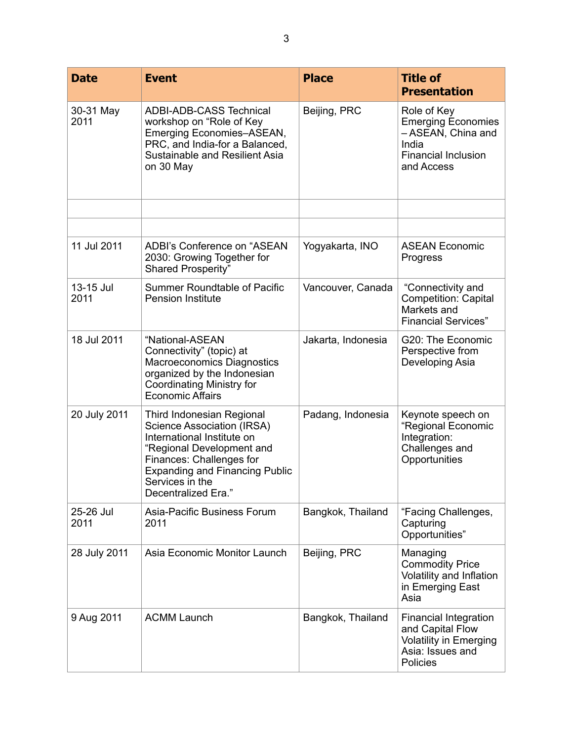| <b>Date</b>       | <b>Event</b>                                                                                                                                                                                                                      | <b>Place</b>       | <b>Title of</b><br><b>Presentation</b>                                                                              |
|-------------------|-----------------------------------------------------------------------------------------------------------------------------------------------------------------------------------------------------------------------------------|--------------------|---------------------------------------------------------------------------------------------------------------------|
| 30-31 May<br>2011 | <b>ADBI-ADB-CASS Technical</b><br>workshop on "Role of Key<br>Emerging Economies-ASEAN,<br>PRC, and India-for a Balanced,<br>Sustainable and Resilient Asia<br>on 30 May                                                          | Beijing, PRC       | Role of Key<br><b>Emerging Economies</b><br>- ASEAN, China and<br>India<br><b>Financial Inclusion</b><br>and Access |
|                   |                                                                                                                                                                                                                                   |                    |                                                                                                                     |
| 11 Jul 2011       | ADBI's Conference on "ASEAN<br>2030: Growing Together for<br>Shared Prosperity"                                                                                                                                                   | Yogyakarta, INO    | <b>ASEAN Economic</b><br>Progress                                                                                   |
| 13-15 Jul<br>2011 | <b>Summer Roundtable of Pacific</b><br><b>Pension Institute</b>                                                                                                                                                                   | Vancouver, Canada  | "Connectivity and<br><b>Competition: Capital</b><br>Markets and<br><b>Financial Services"</b>                       |
| 18 Jul 2011       | "National-ASEAN<br>Connectivity" (topic) at<br>Macroeconomics Diagnostics<br>organized by the Indonesian<br>Coordinating Ministry for<br><b>Economic Affairs</b>                                                                  | Jakarta, Indonesia | G20: The Economic<br>Perspective from<br>Developing Asia                                                            |
| 20 July 2011      | Third Indonesian Regional<br>Science Association (IRSA)<br>International Institute on<br>"Regional Development and<br>Finances: Challenges for<br><b>Expanding and Financing Public</b><br>Services in the<br>Decentralized Era." | Padang, Indonesia  | Keynote speech on<br>"Regional Economic<br>Integration:<br>Challenges and<br>Opportunities                          |
| 25-26 Jul<br>2011 | Asia-Pacific Business Forum<br>2011                                                                                                                                                                                               | Bangkok, Thailand  | "Facing Challenges,<br>Capturing<br>Opportunities"                                                                  |
| 28 July 2011      | Asia Economic Monitor Launch                                                                                                                                                                                                      | Beijing, PRC       | Managing<br><b>Commodity Price</b><br>Volatility and Inflation<br>in Emerging East<br>Asia                          |
| 9 Aug 2011        | <b>ACMM Launch</b>                                                                                                                                                                                                                | Bangkok, Thailand  | <b>Financial Integration</b><br>and Capital Flow<br><b>Volatility in Emerging</b><br>Asia: Issues and<br>Policies   |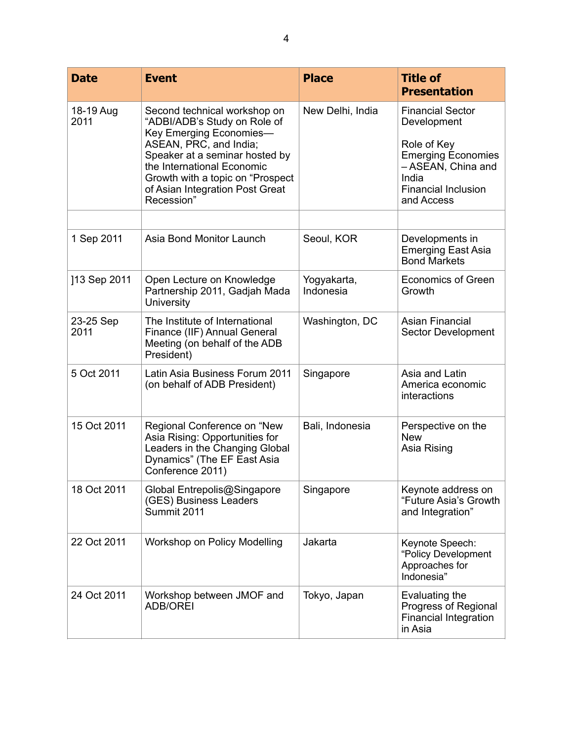| <b>Date</b>       | <b>Event</b>                                                                                                                                                                                                                                                            | <b>Place</b>             | <b>Title of</b><br><b>Presentation</b>                                                                                                                        |
|-------------------|-------------------------------------------------------------------------------------------------------------------------------------------------------------------------------------------------------------------------------------------------------------------------|--------------------------|---------------------------------------------------------------------------------------------------------------------------------------------------------------|
| 18-19 Aug<br>2011 | Second technical workshop on<br>"ADBI/ADB's Study on Role of<br>Key Emerging Economies-<br>ASEAN, PRC, and India;<br>Speaker at a seminar hosted by<br>the International Economic<br>Growth with a topic on "Prospect"<br>of Asian Integration Post Great<br>Recession" | New Delhi, India         | <b>Financial Sector</b><br>Development<br>Role of Key<br><b>Emerging Economies</b><br>- ASEAN, China and<br>India<br><b>Financial Inclusion</b><br>and Access |
|                   |                                                                                                                                                                                                                                                                         |                          |                                                                                                                                                               |
| 1 Sep 2011        | Asia Bond Monitor Launch                                                                                                                                                                                                                                                | Seoul, KOR               | Developments in<br><b>Emerging East Asia</b><br><b>Bond Markets</b>                                                                                           |
| ]13 Sep 2011      | Open Lecture on Knowledge<br>Partnership 2011, Gadjah Mada<br>University                                                                                                                                                                                                | Yogyakarta,<br>Indonesia | <b>Economics of Green</b><br>Growth                                                                                                                           |
| 23-25 Sep<br>2011 | The Institute of International<br>Finance (IIF) Annual General<br>Meeting (on behalf of the ADB<br>President)                                                                                                                                                           | Washington, DC           | <b>Asian Financial</b><br>Sector Development                                                                                                                  |
| 5 Oct 2011        | Latin Asia Business Forum 2011<br>(on behalf of ADB President)                                                                                                                                                                                                          | Singapore                | Asia and Latin<br>America economic<br>interactions                                                                                                            |
| 15 Oct 2011       | Regional Conference on "New<br>Asia Rising: Opportunities for<br>Leaders in the Changing Global<br>Dynamics" (The EF East Asia<br>Conference 2011)                                                                                                                      | Bali, Indonesia          | Perspective on the<br><b>New</b><br>Asia Rising                                                                                                               |
| 18 Oct 2011       | Global Entrepolis@Singapore<br>(GES) Business Leaders<br>Summit 2011                                                                                                                                                                                                    | Singapore                | Keynote address on<br>"Future Asia's Growth<br>and Integration"                                                                                               |
| 22 Oct 2011       | Workshop on Policy Modelling                                                                                                                                                                                                                                            | Jakarta                  | Keynote Speech:<br>"Policy Development<br>Approaches for<br>Indonesia"                                                                                        |
| 24 Oct 2011       | Workshop between JMOF and<br><b>ADB/OREI</b>                                                                                                                                                                                                                            | Tokyo, Japan             | Evaluating the<br>Progress of Regional<br>Financial Integration<br>in Asia                                                                                    |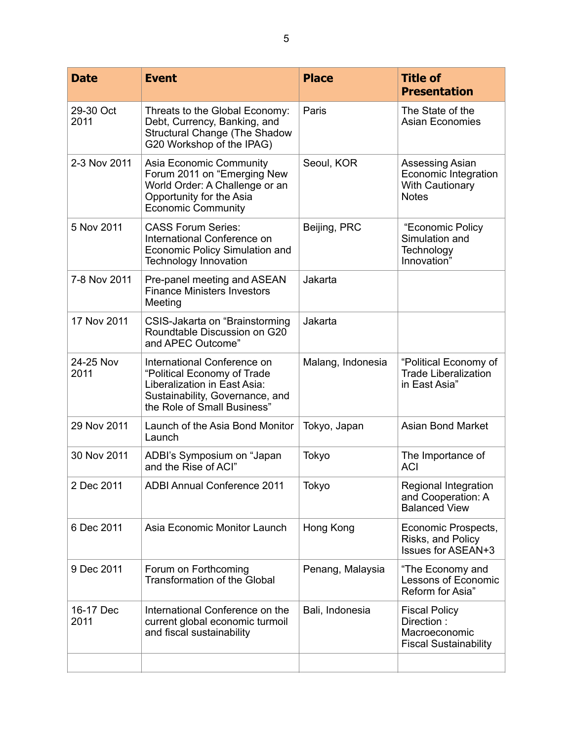| <b>Date</b>       | <b>Event</b>                                                                                                                                                 | <b>Place</b>      | <b>Title of</b><br><b>Presentation</b>                                              |
|-------------------|--------------------------------------------------------------------------------------------------------------------------------------------------------------|-------------------|-------------------------------------------------------------------------------------|
| 29-30 Oct<br>2011 | Threats to the Global Economy:<br>Debt, Currency, Banking, and<br><b>Structural Change (The Shadow</b><br>G20 Workshop of the IPAG)                          | Paris             | The State of the<br><b>Asian Economies</b>                                          |
| 2-3 Nov 2011      | Asia Economic Community<br>Forum 2011 on "Emerging New<br>World Order: A Challenge or an<br>Opportunity for the Asia<br><b>Economic Community</b>            | Seoul, KOR        | Assessing Asian<br>Economic Integration<br><b>With Cautionary</b><br><b>Notes</b>   |
| 5 Nov 2011        | <b>CASS Forum Series:</b><br>International Conference on<br>Economic Policy Simulation and<br><b>Technology Innovation</b>                                   | Beijing, PRC      | "Economic Policy<br>Simulation and<br>Technology<br>Innovation"                     |
| 7-8 Nov 2011      | Pre-panel meeting and ASEAN<br><b>Finance Ministers Investors</b><br>Meeting                                                                                 | Jakarta           |                                                                                     |
| 17 Nov 2011       | CSIS-Jakarta on "Brainstorming<br>Roundtable Discussion on G20<br>and APEC Outcome"                                                                          | Jakarta           |                                                                                     |
| 24-25 Nov<br>2011 | International Conference on<br>"Political Economy of Trade<br>Liberalization in East Asia:<br>Sustainability, Governance, and<br>the Role of Small Business" | Malang, Indonesia | "Political Economy of<br><b>Trade Liberalization</b><br>in East Asia"               |
| 29 Nov 2011       | Launch of the Asia Bond Monitor<br>Launch                                                                                                                    | Tokyo, Japan      | <b>Asian Bond Market</b>                                                            |
| 30 Nov 2011       | ADBI's Symposium on "Japan<br>and the Rise of ACI"                                                                                                           | Tokyo             | The Importance of<br><b>ACI</b>                                                     |
| 2 Dec 2011        | <b>ADBI Annual Conference 2011</b>                                                                                                                           | Tokyo             | Regional Integration<br>and Cooperation: A<br><b>Balanced View</b>                  |
| 6 Dec 2011        | Asia Economic Monitor Launch                                                                                                                                 | Hong Kong         | Economic Prospects,<br>Risks, and Policy<br><b>Issues for ASEAN+3</b>               |
| 9 Dec 2011        | Forum on Forthcoming<br><b>Transformation of the Global</b>                                                                                                  | Penang, Malaysia  | "The Economy and<br>Lessons of Economic<br>Reform for Asia"                         |
| 16-17 Dec<br>2011 | International Conference on the<br>current global economic turmoil<br>and fiscal sustainability                                                              | Bali, Indonesia   | <b>Fiscal Policy</b><br>Direction:<br>Macroeconomic<br><b>Fiscal Sustainability</b> |
|                   |                                                                                                                                                              |                   |                                                                                     |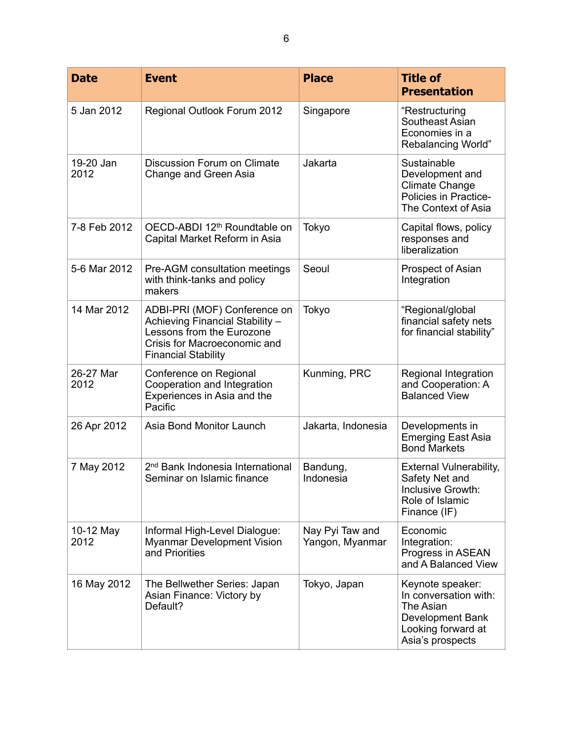| <b>Date</b>       | <b>Event</b>                                                                                                                                               | <b>Place</b>                       | <b>Title of</b><br><b>Presentation</b>                                                                               |
|-------------------|------------------------------------------------------------------------------------------------------------------------------------------------------------|------------------------------------|----------------------------------------------------------------------------------------------------------------------|
| 5 Jan 2012        | Regional Outlook Forum 2012                                                                                                                                | Singapore                          | "Restructuring<br>Southeast Asian<br>Economies in a<br><b>Rebalancing World"</b>                                     |
| 19-20 Jan<br>2012 | Discussion Forum on Climate<br>Change and Green Asia                                                                                                       | Jakarta                            | Sustainable<br>Development and<br><b>Climate Change</b><br>Policies in Practice-<br>The Context of Asia              |
| 7-8 Feb 2012      | OECD-ABDI 12 <sup>th</sup> Roundtable on<br>Capital Market Reform in Asia                                                                                  | Tokyo                              | Capital flows, policy<br>responses and<br>liberalization                                                             |
| 5-6 Mar 2012      | Pre-AGM consultation meetings<br>with think-tanks and policy<br>makers                                                                                     | Seoul                              | Prospect of Asian<br>Integration                                                                                     |
| 14 Mar 2012       | ADBI-PRI (MOF) Conference on<br>Achieving Financial Stability -<br>Lessons from the Eurozone<br>Crisis for Macroeconomic and<br><b>Financial Stability</b> | Tokyo                              | "Regional/global<br>financial safety nets<br>for financial stability"                                                |
| 26-27 Mar<br>2012 | Conference on Regional<br>Cooperation and Integration<br>Experiences in Asia and the<br>Pacific                                                            | Kunming, PRC                       | Regional Integration<br>and Cooperation: A<br><b>Balanced View</b>                                                   |
| 26 Apr 2012       | Asia Bond Monitor Launch                                                                                                                                   | Jakarta, Indonesia                 | Developments in<br><b>Emerging East Asia</b><br><b>Bond Markets</b>                                                  |
| 7 May 2012        | 2 <sup>nd</sup> Bank Indonesia International<br>Seminar on Islamic finance                                                                                 | Bandung,<br>Indonesia              | <b>External Vulnerability,</b><br>Safety Net and<br>Inclusive Growth:<br>Role of Islamic<br>Finance (IF)             |
| 10-12 May<br>2012 | Informal High-Level Dialogue:<br><b>Myanmar Development Vision</b><br>and Priorities                                                                       | Nay Pyi Taw and<br>Yangon, Myanmar | Economic<br>Integration:<br>Progress in ASEAN<br>and A Balanced View                                                 |
| 16 May 2012       | The Bellwether Series: Japan<br>Asian Finance: Victory by<br>Default?                                                                                      | Tokyo, Japan                       | Keynote speaker:<br>In conversation with:<br>The Asian<br>Development Bank<br>Looking forward at<br>Asia's prospects |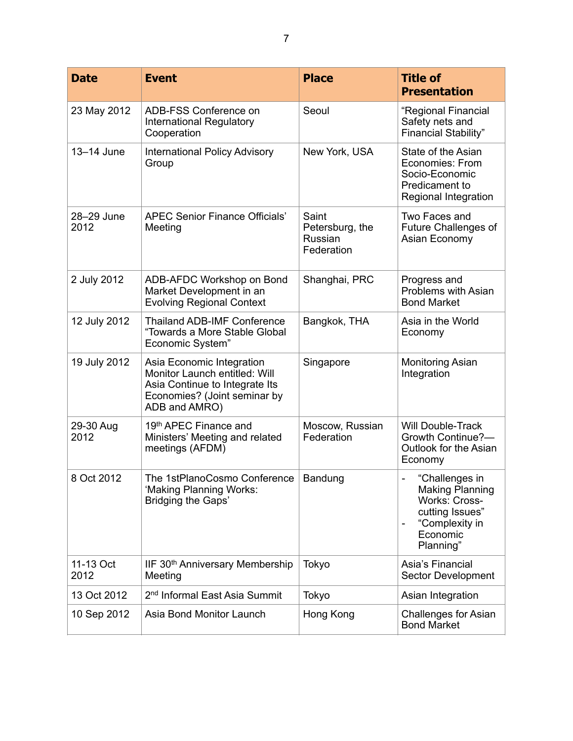| <b>Date</b>        | <b>Event</b>                                                                                                                                  | <b>Place</b>                                      | <b>Title of</b><br><b>Presentation</b>                                                                                  |
|--------------------|-----------------------------------------------------------------------------------------------------------------------------------------------|---------------------------------------------------|-------------------------------------------------------------------------------------------------------------------------|
| 23 May 2012        | ADB-FSS Conference on<br>International Regulatory<br>Cooperation                                                                              | Seoul                                             | "Regional Financial<br>Safety nets and<br><b>Financial Stability"</b>                                                   |
| 13-14 June         | <b>International Policy Advisory</b><br>Group                                                                                                 | New York, USA                                     | State of the Asian<br>Economies: From<br>Socio-Economic<br>Predicament to<br>Regional Integration                       |
| 28-29 June<br>2012 | <b>APEC Senior Finance Officials'</b><br>Meeting                                                                                              | Saint<br>Petersburg, the<br>Russian<br>Federation | Two Faces and<br><b>Future Challenges of</b><br>Asian Economy                                                           |
| 2 July 2012        | ADB-AFDC Workshop on Bond<br>Market Development in an<br><b>Evolving Regional Context</b>                                                     | Shanghai, PRC                                     | Progress and<br>Problems with Asian<br><b>Bond Market</b>                                                               |
| 12 July 2012       | <b>Thailand ADB-IMF Conference</b><br>"Towards a More Stable Global<br>Economic System"                                                       | Bangkok, THA                                      | Asia in the World<br>Economy                                                                                            |
| 19 July 2012       | Asia Economic Integration<br>Monitor Launch entitled: Will<br>Asia Continue to Integrate Its<br>Economies? (Joint seminar by<br>ADB and AMRO) | Singapore                                         | <b>Monitoring Asian</b><br>Integration                                                                                  |
| 29-30 Aug<br>2012  | 19th APEC Finance and<br>Ministers' Meeting and related<br>meetings (AFDM)                                                                    | Moscow, Russian<br>Federation                     | <b>Will Double-Track</b><br>Growth Continue?-<br>Outlook for the Asian<br>Economy                                       |
| 8 Oct 2012         | The 1stPlanoCosmo Conference<br>'Making Planning Works:<br>Bridging the Gaps'                                                                 | Bandung                                           | "Challenges in<br><b>Making Planning</b><br>Works: Cross-<br>cutting Issues"<br>"Complexity in<br>Economic<br>Planning" |
| 11-13 Oct<br>2012  | IIF 30th Anniversary Membership<br>Meeting                                                                                                    | Tokyo                                             | Asia's Financial<br>Sector Development                                                                                  |
| 13 Oct 2012        | 2 <sup>nd</sup> Informal East Asia Summit                                                                                                     | Tokyo                                             | Asian Integration                                                                                                       |
| 10 Sep 2012        | Asia Bond Monitor Launch                                                                                                                      | Hong Kong                                         | <b>Challenges for Asian</b><br><b>Bond Market</b>                                                                       |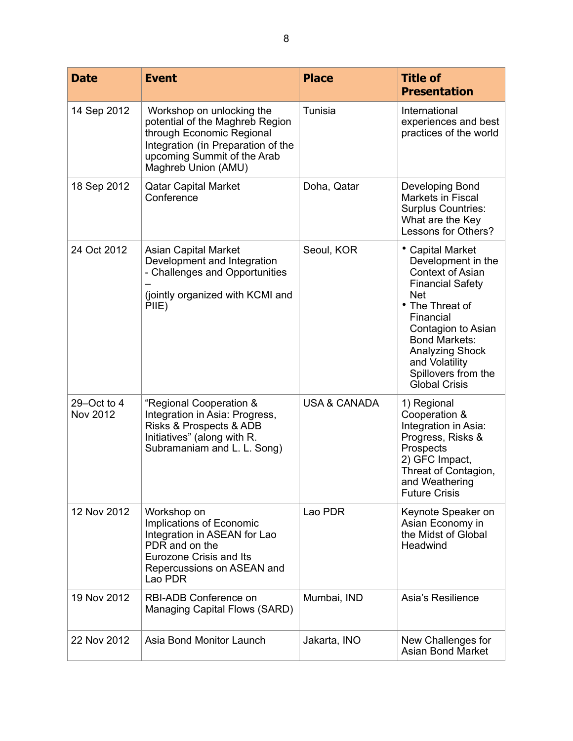| <b>Date</b>                    | <b>Event</b>                                                                                                                                                                          | <b>Place</b>            | <b>Title of</b><br><b>Presentation</b>                                                                                                                                                                                                                                              |
|--------------------------------|---------------------------------------------------------------------------------------------------------------------------------------------------------------------------------------|-------------------------|-------------------------------------------------------------------------------------------------------------------------------------------------------------------------------------------------------------------------------------------------------------------------------------|
| 14 Sep 2012                    | Workshop on unlocking the<br>potential of the Maghreb Region<br>through Economic Regional<br>Integration (in Preparation of the<br>upcoming Summit of the Arab<br>Maghreb Union (AMU) | Tunisia                 | International<br>experiences and best<br>practices of the world                                                                                                                                                                                                                     |
| 18 Sep 2012                    | <b>Qatar Capital Market</b><br>Conference                                                                                                                                             | Doha, Qatar             | Developing Bond<br>Markets in Fiscal<br><b>Surplus Countries:</b><br>What are the Key<br>Lessons for Others?                                                                                                                                                                        |
| 24 Oct 2012                    | <b>Asian Capital Market</b><br>Development and Integration<br>- Challenges and Opportunities<br>(jointly organized with KCMI and<br>PIIE)                                             | Seoul, KOR              | • Capital Market<br>Development in the<br><b>Context of Asian</b><br><b>Financial Safety</b><br><b>Net</b><br>• The Threat of<br>Financial<br>Contagion to Asian<br><b>Bond Markets:</b><br><b>Analyzing Shock</b><br>and Volatility<br>Spillovers from the<br><b>Global Crisis</b> |
| 29-Oct to 4<br><b>Nov 2012</b> | "Regional Cooperation &<br>Integration in Asia: Progress,<br>Risks & Prospects & ADB<br>Initiatives" (along with R.<br>Subramaniam and L. L. Song)                                    | <b>USA &amp; CANADA</b> | 1) Regional<br>Cooperation &<br>Integration in Asia:<br>Progress, Risks &<br>Prospects<br>2) GFC Impact,<br>Threat of Contagion,<br>and Weathering<br><b>Future Crisis</b>                                                                                                          |
| 12 Nov 2012                    | Workshop on<br>Implications of Economic<br>Integration in ASEAN for Lao<br>PDR and on the<br>Eurozone Crisis and Its<br>Repercussions on ASEAN and<br>Lao PDR                         | Lao PDR                 | Keynote Speaker on<br>Asian Economy in<br>the Midst of Global<br>Headwind                                                                                                                                                                                                           |
| 19 Nov 2012                    | RBI-ADB Conference on<br>Managing Capital Flows (SARD)                                                                                                                                | Mumbai, IND             | Asia's Resilience                                                                                                                                                                                                                                                                   |
| 22 Nov 2012                    | Asia Bond Monitor Launch                                                                                                                                                              | Jakarta, INO            | New Challenges for<br><b>Asian Bond Market</b>                                                                                                                                                                                                                                      |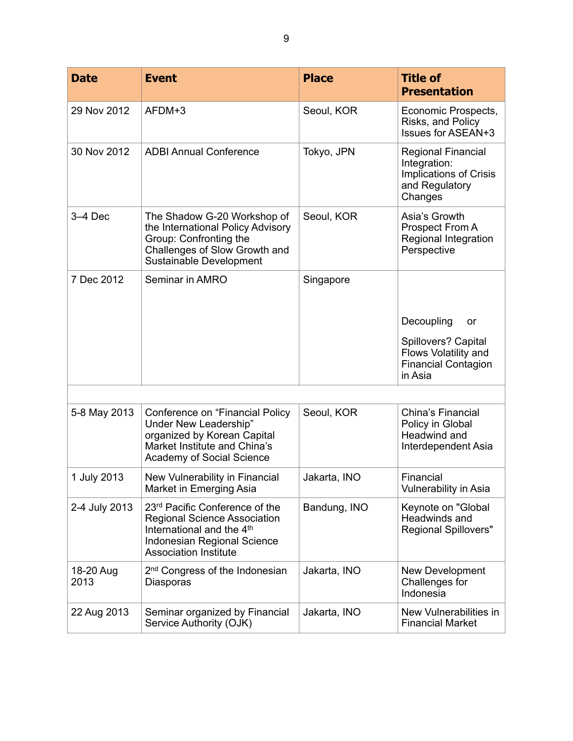| <b>Date</b>       | <b>Event</b>                                                                                                                                                                  | <b>Place</b> | <b>Title of</b><br><b>Presentation</b>                                                                  |
|-------------------|-------------------------------------------------------------------------------------------------------------------------------------------------------------------------------|--------------|---------------------------------------------------------------------------------------------------------|
| 29 Nov 2012       | AFDM+3                                                                                                                                                                        | Seoul, KOR   | Economic Prospects,<br>Risks, and Policy<br><b>Issues for ASEAN+3</b>                                   |
| 30 Nov 2012       | <b>ADBI Annual Conference</b>                                                                                                                                                 | Tokyo, JPN   | <b>Regional Financial</b><br>Integration:<br><b>Implications of Crisis</b><br>and Regulatory<br>Changes |
| $3-4$ Dec         | The Shadow G-20 Workshop of<br>the International Policy Advisory<br>Group: Confronting the<br>Challenges of Slow Growth and<br>Sustainable Development                        | Seoul, KOR   | Asia's Growth<br>Prospect From A<br>Regional Integration<br>Perspective                                 |
| 7 Dec 2012        | Seminar in AMRO                                                                                                                                                               | Singapore    |                                                                                                         |
|                   |                                                                                                                                                                               |              | Decoupling<br><u>or</u>                                                                                 |
|                   |                                                                                                                                                                               |              | Spillovers? Capital<br>Flows Volatility and<br><b>Financial Contagion</b><br>in Asia                    |
|                   |                                                                                                                                                                               |              |                                                                                                         |
| 5-8 May 2013      | Conference on "Financial Policy<br>Under New Leadership"<br>organized by Korean Capital<br>Market Institute and China's<br>Academy of Social Science                          | Seoul, KOR   | China's Financial<br>Policy in Global<br>Headwind and<br>Interdependent Asia                            |
| 1 July 2013       | New Vulnerability in Financial<br>Market in Emerging Asia                                                                                                                     | Jakarta, INO | Financial<br>Vulnerability in Asia                                                                      |
| 2-4 July 2013     | 23rd Pacific Conference of the<br><b>Regional Science Association</b><br>International and the 4 <sup>th</sup><br>Indonesian Regional Science<br><b>Association Institute</b> | Bandung, INO | Keynote on "Global<br>Headwinds and<br><b>Regional Spillovers"</b>                                      |
| 18-20 Aug<br>2013 | 2 <sup>nd</sup> Congress of the Indonesian<br>Diasporas                                                                                                                       | Jakarta, INO | New Development<br>Challenges for<br>Indonesia                                                          |
| 22 Aug 2013       | Seminar organized by Financial<br>Service Authority (OJK)                                                                                                                     | Jakarta, INO | New Vulnerabilities in<br><b>Financial Market</b>                                                       |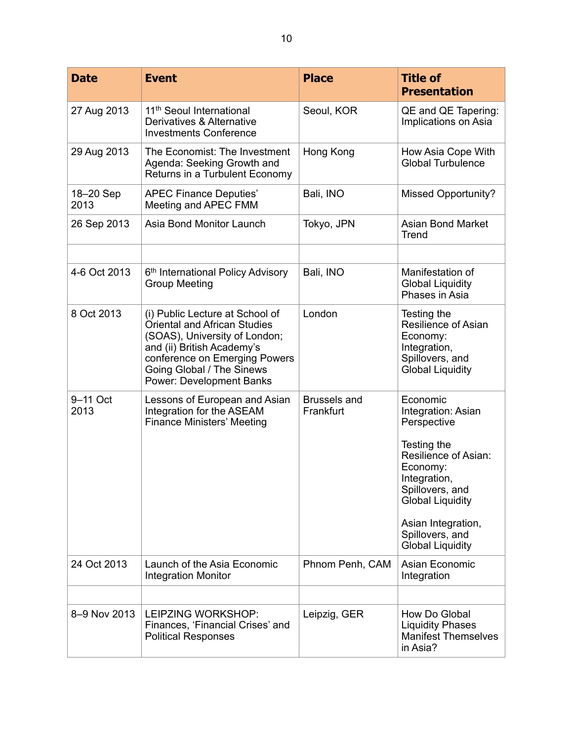| <b>Date</b>       | <b>Event</b>                                                                                                                                                                                                                           | <b>Place</b>                     | <b>Title of</b><br><b>Presentation</b>                                                                                                                                                                                             |
|-------------------|----------------------------------------------------------------------------------------------------------------------------------------------------------------------------------------------------------------------------------------|----------------------------------|------------------------------------------------------------------------------------------------------------------------------------------------------------------------------------------------------------------------------------|
| 27 Aug 2013       | 11 <sup>th</sup> Seoul International<br>Derivatives & Alternative<br><b>Investments Conference</b>                                                                                                                                     | Seoul, KOR                       | QE and QE Tapering:<br>Implications on Asia                                                                                                                                                                                        |
| 29 Aug 2013       | The Economist: The Investment<br>Agenda: Seeking Growth and<br>Returns in a Turbulent Economy                                                                                                                                          | Hong Kong                        | How Asia Cope With<br><b>Global Turbulence</b>                                                                                                                                                                                     |
| 18-20 Sep<br>2013 | <b>APEC Finance Deputies'</b><br>Meeting and APEC FMM                                                                                                                                                                                  | Bali, INO                        | <b>Missed Opportunity?</b>                                                                                                                                                                                                         |
| 26 Sep 2013       | Asia Bond Monitor Launch                                                                                                                                                                                                               | Tokyo, JPN                       | <b>Asian Bond Market</b><br>Trend                                                                                                                                                                                                  |
|                   |                                                                                                                                                                                                                                        |                                  |                                                                                                                                                                                                                                    |
| 4-6 Oct 2013      | 6 <sup>th</sup> International Policy Advisory<br><b>Group Meeting</b>                                                                                                                                                                  | Bali, INO                        | Manifestation of<br><b>Global Liquidity</b><br>Phases in Asia                                                                                                                                                                      |
| 8 Oct 2013        | (i) Public Lecture at School of<br><b>Oriental and African Studies</b><br>(SOAS), University of London;<br>and (ii) British Academy's<br>conference on Emerging Powers<br>Going Global / The Sinews<br><b>Power: Development Banks</b> | London                           | Testing the<br><b>Resilience of Asian</b><br>Economy:<br>Integration,<br>Spillovers, and<br><b>Global Liquidity</b>                                                                                                                |
| 9-11 Oct<br>2013  | Lessons of European and Asian<br>Integration for the ASEAM<br><b>Finance Ministers' Meeting</b>                                                                                                                                        | <b>Brussels and</b><br>Frankfurt | Economic<br>Integration: Asian<br>Perspective<br>Testing the<br>Resilience of Asian:<br>Economy:<br>Integration,<br>Spillovers, and<br><b>Global Liquidity</b><br>Asian Integration,<br>Spillovers, and<br><b>Global Liquidity</b> |
| 24 Oct 2013       | Launch of the Asia Economic<br><b>Integration Monitor</b>                                                                                                                                                                              | Phnom Penh, CAM                  | Asian Economic<br>Integration                                                                                                                                                                                                      |
|                   |                                                                                                                                                                                                                                        |                                  |                                                                                                                                                                                                                                    |
| 8-9 Nov 2013      | LEIPZING WORKSHOP:<br>Finances, 'Financial Crises' and<br><b>Political Responses</b>                                                                                                                                                   | Leipzig, GER                     | How Do Global<br><b>Liquidity Phases</b><br><b>Manifest Themselves</b><br>in Asia?                                                                                                                                                 |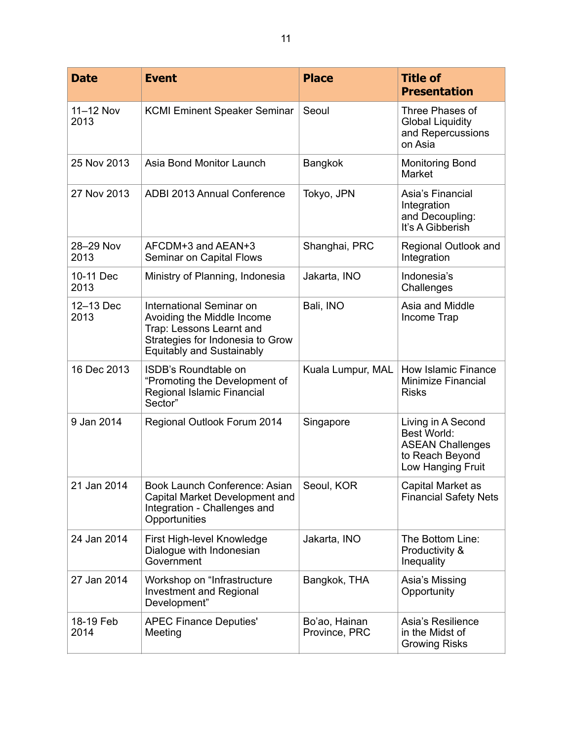| <b>Date</b>       | <b>Event</b>                                                                                                                                               | <b>Place</b>                   | <b>Title of</b><br><b>Presentation</b>                                                                      |
|-------------------|------------------------------------------------------------------------------------------------------------------------------------------------------------|--------------------------------|-------------------------------------------------------------------------------------------------------------|
| 11-12 Nov<br>2013 | <b>KCMI Eminent Speaker Seminar</b>                                                                                                                        | Seoul                          | Three Phases of<br><b>Global Liquidity</b><br>and Repercussions<br>on Asia                                  |
| 25 Nov 2013       | Asia Bond Monitor Launch                                                                                                                                   | Bangkok                        | <b>Monitoring Bond</b><br>Market                                                                            |
| 27 Nov 2013       | ADBI 2013 Annual Conference                                                                                                                                | Tokyo, JPN                     | Asia's Financial<br>Integration<br>and Decoupling:<br>It's A Gibberish                                      |
| 28-29 Nov<br>2013 | AFCDM+3 and AEAN+3<br>Seminar on Capital Flows                                                                                                             | Shanghai, PRC                  | Regional Outlook and<br>Integration                                                                         |
| 10-11 Dec<br>2013 | Ministry of Planning, Indonesia                                                                                                                            | Jakarta, INO                   | Indonesia's<br>Challenges                                                                                   |
| 12-13 Dec<br>2013 | International Seminar on<br>Avoiding the Middle Income<br>Trap: Lessons Learnt and<br>Strategies for Indonesia to Grow<br><b>Equitably and Sustainably</b> | Bali, INO                      | Asia and Middle<br>Income Trap                                                                              |
| 16 Dec 2013       | ISDB's Roundtable on<br>"Promoting the Development of<br>Regional Islamic Financial<br>Sector"                                                             | Kuala Lumpur, MAL              | <b>How Islamic Finance</b><br>Minimize Financial<br><b>Risks</b>                                            |
| 9 Jan 2014        | Regional Outlook Forum 2014                                                                                                                                | Singapore                      | Living in A Second<br><b>Best World:</b><br><b>ASEAN Challenges</b><br>to Reach Beyond<br>Low Hanging Fruit |
| 21 Jan 2014       | Book Launch Conference: Asian<br>Capital Market Development and<br>Integration - Challenges and<br>Opportunities                                           | Seoul, KOR                     | Capital Market as<br><b>Financial Safety Nets</b>                                                           |
| 24 Jan 2014       | First High-level Knowledge<br>Dialogue with Indonesian<br>Government                                                                                       | Jakarta, INO                   | The Bottom Line:<br>Productivity &<br>Inequality                                                            |
| 27 Jan 2014       | Workshop on "Infrastructure<br>Investment and Regional<br>Development"                                                                                     | Bangkok, THA                   | Asia's Missing<br>Opportunity                                                                               |
| 18-19 Feb<br>2014 | <b>APEC Finance Deputies'</b><br>Meeting                                                                                                                   | Bo'ao, Hainan<br>Province, PRC | Asia's Resilience<br>in the Midst of<br><b>Growing Risks</b>                                                |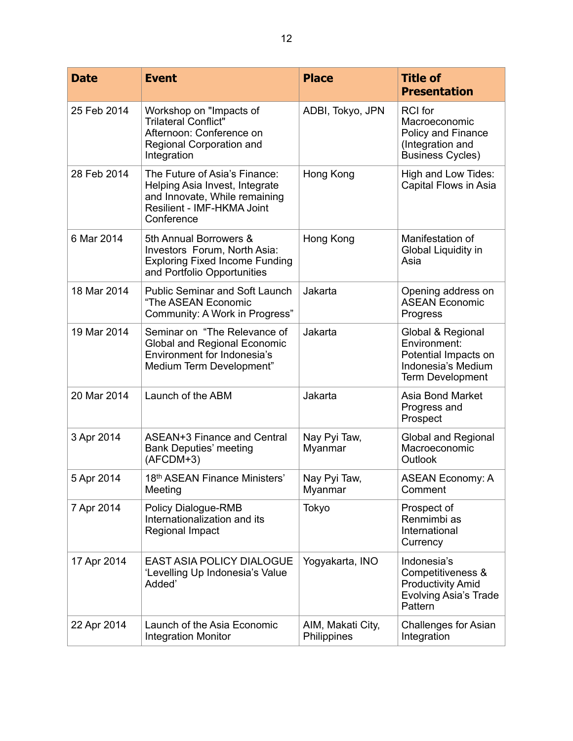| <b>Date</b> | <b>Event</b>                                                                                                                                 | <b>Place</b>                     | <b>Title of</b><br><b>Presentation</b>                                                                     |
|-------------|----------------------------------------------------------------------------------------------------------------------------------------------|----------------------------------|------------------------------------------------------------------------------------------------------------|
| 25 Feb 2014 | Workshop on "Impacts of<br><b>Trilateral Conflict"</b><br>Afternoon: Conference on<br>Regional Corporation and<br>Integration                | ADBI, Tokyo, JPN                 | <b>RCI</b> for<br>Macroeconomic<br>Policy and Finance<br>(Integration and<br><b>Business Cycles)</b>       |
| 28 Feb 2014 | The Future of Asia's Finance:<br>Helping Asia Invest, Integrate<br>and Innovate, While remaining<br>Resilient - IMF-HKMA Joint<br>Conference | Hong Kong                        | High and Low Tides:<br>Capital Flows in Asia                                                               |
| 6 Mar 2014  | 5th Annual Borrowers &<br>Investors Forum, North Asia:<br><b>Exploring Fixed Income Funding</b><br>and Portfolio Opportunities               | Hong Kong                        | Manifestation of<br>Global Liquidity in<br>Asia                                                            |
| 18 Mar 2014 | <b>Public Seminar and Soft Launch</b><br>"The ASEAN Economic<br>Community: A Work in Progress"                                               | Jakarta                          | Opening address on<br><b>ASEAN Economic</b><br>Progress                                                    |
| 19 Mar 2014 | Seminar on "The Relevance of<br><b>Global and Regional Economic</b><br>Environment for Indonesia's<br>Medium Term Development"               | Jakarta                          | Global & Regional<br>Environment:<br>Potential Impacts on<br>Indonesia's Medium<br><b>Term Development</b> |
| 20 Mar 2014 | Launch of the ABM                                                                                                                            | Jakarta                          | Asia Bond Market<br>Progress and<br>Prospect                                                               |
| 3 Apr 2014  | ASEAN+3 Finance and Central<br><b>Bank Deputies' meeting</b><br>(AFCDM+3)                                                                    | Nay Pyi Taw,<br>Myanmar          | <b>Global and Regional</b><br>Macroeconomic<br>Outlook                                                     |
| 5 Apr 2014  | 18th ASEAN Finance Ministers'<br>Meeting                                                                                                     | Nay Pyi Taw,<br>Myanmar          | <b>ASEAN Economy: A</b><br>Comment                                                                         |
| 7 Apr 2014  | Policy Dialogue-RMB<br>Internationalization and its<br>Regional Impact                                                                       | Tokyo                            | Prospect of<br>Renmimbi as<br>International<br>Currency                                                    |
| 17 Apr 2014 | <b>EAST ASIA POLICY DIALOGUE</b><br>'Levelling Up Indonesia's Value<br>Added'                                                                | Yogyakarta, INO                  | Indonesia's<br>Competitiveness &<br><b>Productivity Amid</b><br><b>Evolving Asia's Trade</b><br>Pattern    |
| 22 Apr 2014 | Launch of the Asia Economic<br><b>Integration Monitor</b>                                                                                    | AIM, Makati City,<br>Philippines | Challenges for Asian<br>Integration                                                                        |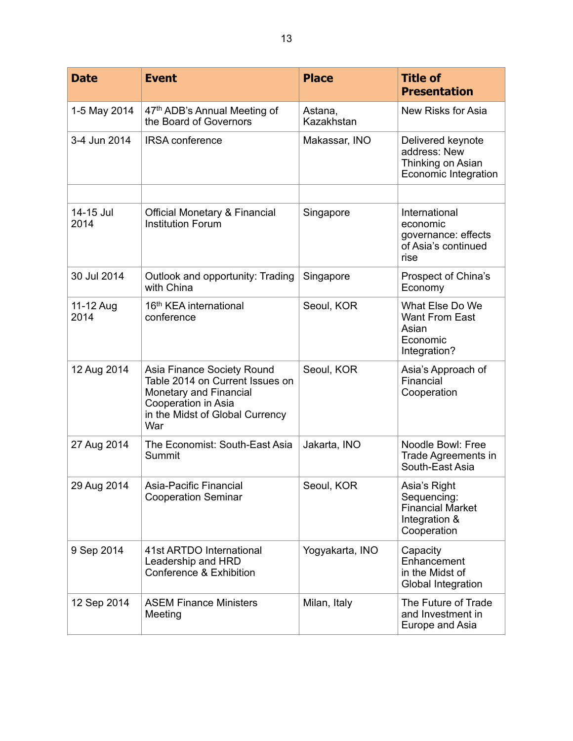| <b>Date</b>       | <b>Event</b>                                                                                                                                             | <b>Place</b>          | <b>Title of</b><br><b>Presentation</b>                                                 |
|-------------------|----------------------------------------------------------------------------------------------------------------------------------------------------------|-----------------------|----------------------------------------------------------------------------------------|
| 1-5 May 2014      | 47th ADB's Annual Meeting of<br>the Board of Governors                                                                                                   | Astana,<br>Kazakhstan | New Risks for Asia                                                                     |
| 3-4 Jun 2014      | <b>IRSA</b> conference                                                                                                                                   | Makassar, INO         | Delivered keynote<br>address: New<br>Thinking on Asian<br>Economic Integration         |
|                   |                                                                                                                                                          |                       |                                                                                        |
| 14-15 Jul<br>2014 | <b>Official Monetary &amp; Financial</b><br><b>Institution Forum</b>                                                                                     | Singapore             | International<br>economic<br>governance: effects<br>of Asia's continued<br>rise        |
| 30 Jul 2014       | Outlook and opportunity: Trading<br>with China                                                                                                           | Singapore             | Prospect of China's<br>Economy                                                         |
| 11-12 Aug<br>2014 | 16 <sup>th</sup> KEA international<br>conference                                                                                                         | Seoul, KOR            | What Else Do We<br>Want From East<br>Asian<br>Economic<br>Integration?                 |
| 12 Aug 2014       | Asia Finance Society Round<br>Table 2014 on Current Issues on<br>Monetary and Financial<br>Cooperation in Asia<br>in the Midst of Global Currency<br>War | Seoul, KOR            | Asia's Approach of<br>Financial<br>Cooperation                                         |
| 27 Aug 2014       | The Economist: South-East Asia<br>Summit                                                                                                                 | Jakarta, INO          | Noodle Bowl: Free<br>Trade Agreements in<br>South-East Asia                            |
| 29 Aug 2014       | Asia-Pacific Financial<br><b>Cooperation Seminar</b>                                                                                                     | Seoul, KOR            | Asia's Right<br>Sequencing:<br><b>Financial Market</b><br>Integration &<br>Cooperation |
| 9 Sep 2014        | 41st ARTDO International<br>Leadership and HRD<br>Conference & Exhibition                                                                                | Yogyakarta, INO       | Capacity<br>Enhancement<br>in the Midst of<br>Global Integration                       |
| 12 Sep 2014       | <b>ASEM Finance Ministers</b><br>Meeting                                                                                                                 | Milan, Italy          | The Future of Trade<br>and Investment in<br>Europe and Asia                            |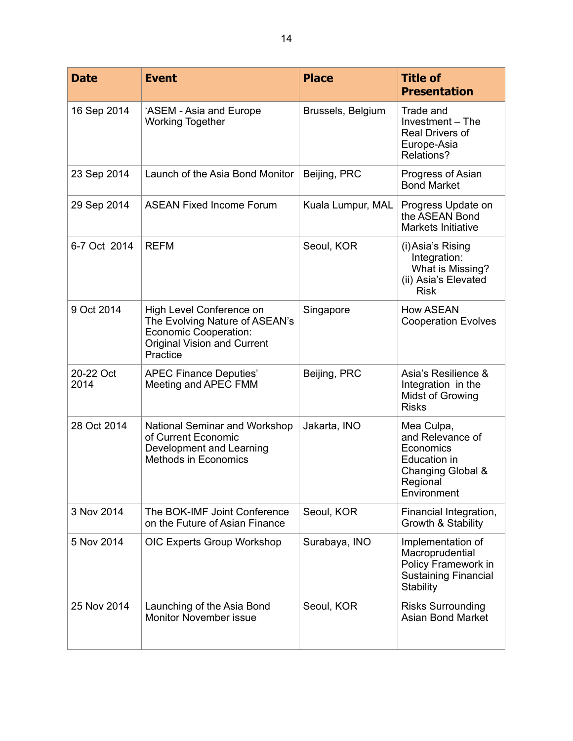| <b>Date</b>       | <b>Event</b>                                                                                                                          | <b>Place</b>      | <b>Title of</b><br><b>Presentation</b>                                                                      |
|-------------------|---------------------------------------------------------------------------------------------------------------------------------------|-------------------|-------------------------------------------------------------------------------------------------------------|
| 16 Sep 2014       | 'ASEM - Asia and Europe<br><b>Working Together</b>                                                                                    | Brussels, Belgium | Trade and<br>Investment - The<br>Real Drivers of<br>Europe-Asia<br>Relations?                               |
| 23 Sep 2014       | Launch of the Asia Bond Monitor                                                                                                       | Beijing, PRC      | Progress of Asian<br><b>Bond Market</b>                                                                     |
| 29 Sep 2014       | <b>ASEAN Fixed Income Forum</b>                                                                                                       | Kuala Lumpur, MAL | Progress Update on<br>the ASEAN Bond<br><b>Markets Initiative</b>                                           |
| 6-7 Oct 2014      | <b>REFM</b>                                                                                                                           | Seoul, KOR        | (i) Asia's Rising<br>Integration:<br>What is Missing?<br>(ii) Asia's Elevated<br><b>Risk</b>                |
| 9 Oct 2014        | High Level Conference on<br>The Evolving Nature of ASEAN's<br>Economic Cooperation:<br><b>Original Vision and Current</b><br>Practice | Singapore         | <b>How ASEAN</b><br><b>Cooperation Evolves</b>                                                              |
| 20-22 Oct<br>2014 | <b>APEC Finance Deputies'</b><br>Meeting and APEC FMM                                                                                 | Beijing, PRC      | Asia's Resilience &<br>Integration in the<br><b>Midst of Growing</b><br><b>Risks</b>                        |
| 28 Oct 2014       | National Seminar and Workshop<br>of Current Economic<br>Development and Learning<br><b>Methods in Economics</b>                       | Jakarta, INO      | Mea Culpa,<br>and Relevance of<br>Economics<br>Education in<br>Changing Global &<br>Regional<br>Environment |
| 3 Nov 2014        | The BOK-IMF Joint Conference<br>on the Future of Asian Finance                                                                        | Seoul, KOR        | Financial Integration,<br>Growth & Stability                                                                |
| 5 Nov 2014        | OIC Experts Group Workshop                                                                                                            | Surabaya, INO     | Implementation of<br>Macroprudential<br>Policy Framework in<br><b>Sustaining Financial</b><br>Stability     |
| 25 Nov 2014       | Launching of the Asia Bond<br><b>Monitor November issue</b>                                                                           | Seoul, KOR        | <b>Risks Surrounding</b><br><b>Asian Bond Market</b>                                                        |